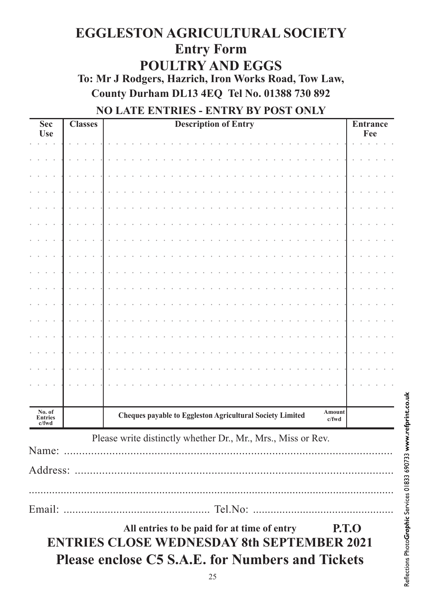## **EGGLESTON AGRICULTURAL SOCIETY Entry Form POULTRY AND EGGS** To: Mr J Rodgers, Hazrich, Iron Works Road, Tow Law, County Durham DL13 4EQ Tel No. 01388 730 892

## NO LATE ENTRIES - ENTRY BY POST ONLY

| <b>Sec</b><br><b>Use</b>   | <b>Classes</b> | <b>Description of Entry</b>                                                  | <b>Entrance</b><br>Fee |
|----------------------------|----------------|------------------------------------------------------------------------------|------------------------|
|                            |                |                                                                              |                        |
|                            |                |                                                                              |                        |
|                            |                |                                                                              |                        |
|                            |                |                                                                              |                        |
|                            |                |                                                                              |                        |
|                            |                |                                                                              |                        |
|                            |                |                                                                              |                        |
|                            |                |                                                                              |                        |
|                            |                |                                                                              |                        |
|                            |                |                                                                              |                        |
|                            |                |                                                                              |                        |
|                            |                |                                                                              |                        |
|                            |                |                                                                              |                        |
|                            |                |                                                                              |                        |
|                            |                |                                                                              |                        |
|                            |                |                                                                              |                        |
|                            |                |                                                                              |                        |
|                            |                |                                                                              |                        |
| No. of<br>Entries<br>c/fwd |                | Amount<br>Cheques payable to Eggleston Agricultural Society Limited<br>c/fwd |                        |
| Name:                      |                | Please write distinctly whether Dr., Mr., Mrs., Miss or Rev.                 |                        |
|                            |                |                                                                              |                        |
|                            |                |                                                                              |                        |
|                            |                | <b>P.T.O</b><br>All entries to be paid for at time of entry                  |                        |

**ENTRIES CLOSE WEDNESDAY 8th SEPTEMBER 2021 Please enclose C5 S.A.E. for Numbers and Tickets**